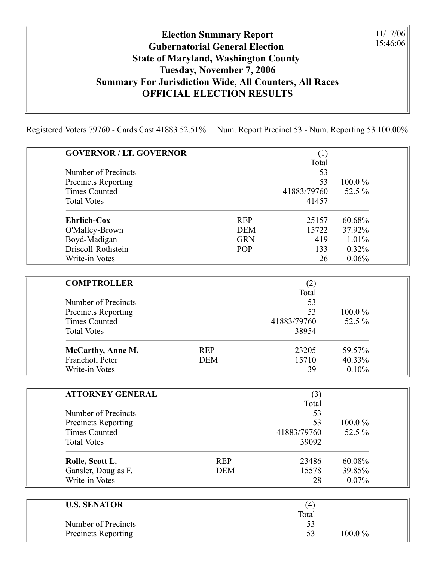## Election Summary Report Gubernatorial General Election State of Maryland, Washington County Tuesday, November 7, 2006 Summary For Jurisdiction Wide, All Counters, All Races OFFICIAL ELECTION RESULTS

11/17/06 15:46:06

Registered Voters 79760 - Cards Cast 41883 52.51% Num. Report Precinct 53 - Num. Reporting 53 100.00%

| <b>GOVERNOR / LT. GOVERNOR</b> |            |            | (1)         |        |
|--------------------------------|------------|------------|-------------|--------|
|                                |            |            | Total       |        |
| Number of Precincts            |            |            | 53          |        |
| Precincts Reporting            |            |            | 53          | 100.0% |
| <b>Times Counted</b>           |            |            | 41883/79760 | 52.5 % |
| <b>Total Votes</b>             |            |            | 41457       |        |
| <b>Ehrlich-Cox</b>             |            | <b>REP</b> | 25157       | 60.68% |
| O'Malley-Brown                 |            | <b>DEM</b> | 15722       | 37.92% |
| Boyd-Madigan                   |            | <b>GRN</b> | 419         | 1.01%  |
| Driscoll-Rothstein             |            | POP        | 133         | 0.32%  |
| Write-in Votes                 |            |            | 26          | 0.06%  |
|                                |            |            |             |        |
| <b>COMPTROLLER</b>             |            |            | (2)         |        |
|                                |            |            | Total       |        |
| Number of Precincts            |            |            | 53          |        |
| Precincts Reporting            |            |            | 53          | 100.0% |
| <b>Times Counted</b>           |            |            | 41883/79760 | 52.5 % |
| <b>Total Votes</b>             |            |            | 38954       |        |
| McCarthy, Anne M.              | <b>REP</b> |            | 23205       | 59.57% |
| Franchot, Peter                | <b>DEM</b> |            | 15710       | 40.33% |
| Write-in Votes                 |            |            | 39          | 0.10%  |
|                                |            |            |             |        |
| <b>ATTORNEY GENERAL</b>        |            |            | (3)         |        |
|                                |            |            | Total       |        |
| Number of Precincts            |            |            | 53          |        |
| Precincts Reporting            |            |            | 53          | 100.0% |
| <b>Times Counted</b>           |            |            | 41883/79760 | 52.5 % |
| <b>Total Votes</b>             |            |            | 39092       |        |
| Rolle, Scott L.                | <b>REP</b> |            | 23486       | 60.08% |
| Gansler, Douglas F.            | <b>DEM</b> |            | 15578       | 39.85% |
| Write-in Votes                 |            |            | 28          | 0.07%  |
|                                |            |            |             |        |
| <b>U.S. SENATOR</b>            |            |            | (4)         |        |
|                                |            |            | Total       |        |
| Number of Precincts            |            |            | 53          |        |

 $\overline{\phantom{a}}$ 

Precincts Reporting 53 100.0 %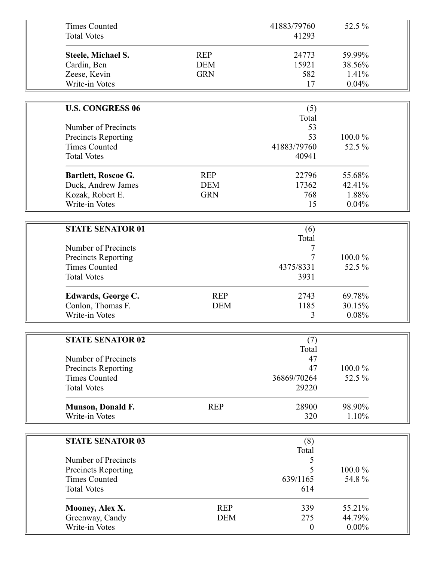| <b>Times Counted</b><br><b>Total Votes</b>  |            | 41883/79760<br>41293 | 52.5 % |
|---------------------------------------------|------------|----------------------|--------|
| Steele, Michael S.                          | <b>REP</b> | 24773                | 59.99% |
| Cardin, Ben                                 | <b>DEM</b> | 15921                | 38.56% |
| Zeese, Kevin                                | <b>GRN</b> | 582                  | 1.41%  |
| Write-in Votes                              |            | 17                   | 0.04%  |
|                                             |            |                      |        |
| <b>U.S. CONGRESS 06</b>                     |            | (5)                  |        |
|                                             |            | Total                |        |
| Number of Precincts                         |            | 53                   |        |
| Precincts Reporting                         |            | 53                   | 100.0% |
| <b>Times Counted</b>                        |            | 41883/79760          | 52.5 % |
| <b>Total Votes</b>                          |            | 40941                |        |
| Bartlett, Roscoe G.                         | <b>REP</b> | 22796                | 55.68% |
| Duck, Andrew James                          | <b>DEM</b> | 17362                | 42.41% |
| Kozak, Robert E.                            | <b>GRN</b> | 768                  | 1.88%  |
| Write-in Votes                              |            | 15                   | 0.04%  |
| <b>STATE SENATOR 01</b>                     |            | (6)                  |        |
|                                             |            | Total                |        |
| Number of Precincts                         |            | 7                    |        |
| Precincts Reporting                         |            | 7                    | 100.0% |
| <b>Times Counted</b>                        |            | 4375/8331            | 52.5 % |
| <b>Total Votes</b>                          |            | 3931                 |        |
| <b>Edwards, George C.</b>                   | <b>REP</b> | 2743                 | 69.78% |
| Conlon, Thomas F.                           | <b>DEM</b> | 1185                 | 30.15% |
| Write-in Votes                              |            | 3                    | 0.08%  |
|                                             |            |                      |        |
| <b>STATE SENATOR 02</b>                     |            | (7)<br>Total         |        |
| Number of Precincts                         |            | 47                   |        |
|                                             |            | 47                   | 100.0% |
| Precincts Reporting<br><b>Times Counted</b> |            | 36869/70264          | 52.5 % |
| <b>Total Votes</b>                          |            | 29220                |        |
|                                             |            |                      |        |
| Munson, Donald F.                           | <b>REP</b> | 28900                | 98.90% |
| Write-in Votes                              |            | 320                  | 1.10%  |
| <b>STATE SENATOR 03</b>                     |            | (8)                  |        |
|                                             |            | Total                |        |
| Number of Precincts                         |            | $\mathcal{L}$        |        |
| Precincts Reporting                         |            | 5                    | 100.0% |
| <b>Times Counted</b>                        |            | 639/1165             | 54.8%  |
| <b>Total Votes</b>                          |            | 614                  |        |
| Mooney, Alex X.                             | <b>REP</b> | 339                  | 55.21% |
|                                             |            |                      |        |
| Greenway, Candy                             | <b>DEM</b> | 275                  | 44.79% |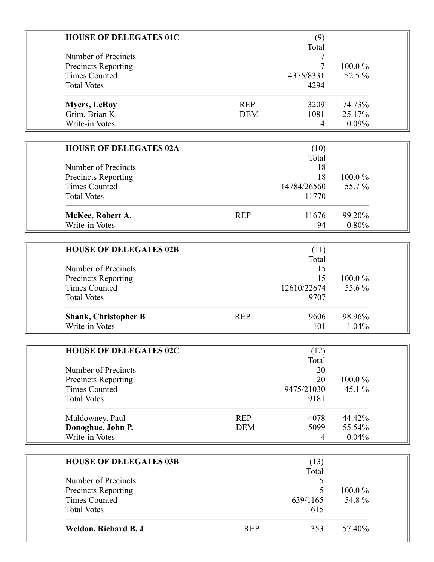| <b>HOUSE OF DELEGATES 01C</b>               |            | (9)            |                 |  |
|---------------------------------------------|------------|----------------|-----------------|--|
|                                             |            | Total          |                 |  |
| Number of Precincts                         |            |                |                 |  |
| <b>Precincts Reporting</b>                  |            | $\overline{7}$ | 100.0%          |  |
| <b>Times Counted</b>                        |            | 4375/8331      | 52.5 %          |  |
| <b>Total Votes</b>                          |            | 4294           |                 |  |
|                                             |            |                |                 |  |
| <b>Myers, LeRoy</b>                         | <b>REP</b> | 3209           | 74.73%          |  |
| Grim, Brian K.                              | <b>DEM</b> | 1081           | 25.17%          |  |
| Write-in Votes                              |            | $\overline{4}$ | 0.09%           |  |
|                                             |            |                |                 |  |
| <b>HOUSE OF DELEGATES 02A</b>               |            | (10)           |                 |  |
|                                             |            | Total          |                 |  |
| Number of Precincts                         |            | 18             |                 |  |
| <b>Precincts Reporting</b>                  |            | 18             | $100.0\%$       |  |
| <b>Times Counted</b>                        |            | 14784/26560    | 55.7%           |  |
| <b>Total Votes</b>                          |            | 11770          |                 |  |
|                                             |            |                |                 |  |
| McKee, Robert A.                            | <b>REP</b> | 11676          | 99.20%          |  |
| Write-in Votes                              |            | 94             | 0.80%           |  |
|                                             |            |                |                 |  |
| <b>HOUSE OF DELEGATES 02B</b>               |            | (11)           |                 |  |
|                                             |            | Total          |                 |  |
| Number of Precincts                         |            | 15             |                 |  |
| Precincts Reporting                         |            | 15             | $100.0\%$       |  |
| <b>Times Counted</b>                        |            | 12610/22674    | 55.6%           |  |
| <b>Total Votes</b>                          |            | 9707           |                 |  |
|                                             |            |                |                 |  |
| <b>Shank, Christopher B</b>                 | <b>REP</b> | 9606           | 98.96%          |  |
| Write-in Votes                              |            | 101            | 1.04%           |  |
|                                             |            |                |                 |  |
| <b>HOUSE OF DELEGATES 02C</b>               |            | (12)           |                 |  |
|                                             |            | Total          |                 |  |
| Number of Precincts                         |            | 20             |                 |  |
| Precincts Reporting                         |            | 20             | 100.0%          |  |
| <b>Times Counted</b>                        |            | 9475/21030     | 45.1 %          |  |
| <b>Total Votes</b>                          |            | 9181           |                 |  |
|                                             |            |                |                 |  |
| Muldowney, Paul                             | <b>REP</b> | 4078           | 44.42%          |  |
| Donoghue, John P.                           | <b>DEM</b> | 5099           | 55.54%          |  |
| Write-in Votes                              |            | 4              | 0.04%           |  |
|                                             |            |                |                 |  |
|                                             |            |                |                 |  |
| <b>HOUSE OF DELEGATES 03B</b>               |            | (13)           |                 |  |
|                                             |            | Total          |                 |  |
| Number of Precincts                         |            | 5<br>5         |                 |  |
| Precincts Reporting<br><b>Times Counted</b> |            | 639/1165       | 100.0%<br>54.8% |  |
| <b>Total Votes</b>                          |            | 615            |                 |  |
|                                             |            |                |                 |  |
| Weldon, Richard B. J                        | <b>REP</b> | 353            | 57.40%          |  |
|                                             |            |                |                 |  |
|                                             |            |                |                 |  |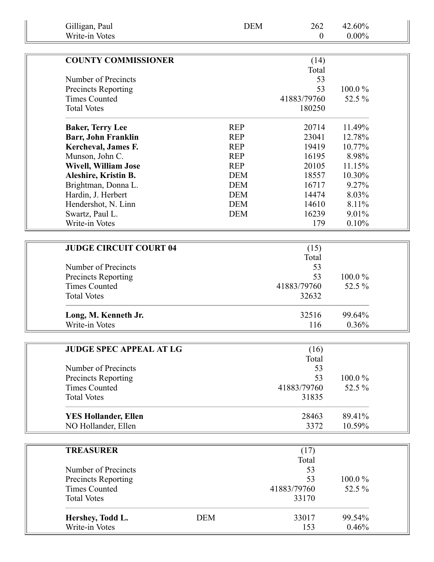| Gilligan, Paul<br>Write-in Votes   |            | <b>DEM</b> | 262<br>$\boldsymbol{0}$ | 42.60%<br>$0.00\%$ |  |
|------------------------------------|------------|------------|-------------------------|--------------------|--|
|                                    |            |            |                         |                    |  |
| <b>COUNTY COMMISSIONER</b>         |            |            | (14)                    |                    |  |
|                                    |            |            | Total                   |                    |  |
| Number of Precincts                |            |            | 53                      |                    |  |
| <b>Precincts Reporting</b>         |            |            | 53                      | 100.0%             |  |
| <b>Times Counted</b>               |            |            | 41883/79760             | 52.5 %             |  |
| <b>Total Votes</b>                 |            |            | 180250                  |                    |  |
| <b>Baker, Terry Lee</b>            |            | <b>REP</b> | 20714                   | 11.49%             |  |
| <b>Barr, John Franklin</b>         |            | <b>REP</b> | 23041                   | 12.78%             |  |
| Kercheval, James F.                |            | <b>REP</b> | 19419                   | 10.77%             |  |
| Munson, John C.                    |            | <b>REP</b> | 16195                   | 8.98%              |  |
| <b>Wivell, William Jose</b>        |            | <b>REP</b> | 20105                   | 11.15%             |  |
| Aleshire, Kristin B.               |            | <b>DEM</b> | 18557                   | 10.30%             |  |
| Brightman, Donna L.                |            | <b>DEM</b> | 16717                   | 9.27%              |  |
| Hardin, J. Herbert                 |            | <b>DEM</b> | 14474                   | 8.03%              |  |
| Hendershot, N. Linn                |            | <b>DEM</b> | 14610                   | 8.11%              |  |
| Swartz, Paul L.                    |            | <b>DEM</b> | 16239                   | 9.01%              |  |
| Write-in Votes                     |            |            | 179                     | 0.10%              |  |
|                                    |            |            |                         |                    |  |
| <b>JUDGE CIRCUIT COURT 04</b>      |            |            | (15)                    |                    |  |
|                                    |            |            | Total                   |                    |  |
| Number of Precincts                |            |            | 53                      |                    |  |
| <b>Precincts Reporting</b>         |            |            | 53                      | 100.0%             |  |
| <b>Times Counted</b>               |            |            | 41883/79760             | 52.5 %             |  |
| <b>Total Votes</b>                 |            |            | 32632                   |                    |  |
| Long, M. Kenneth Jr.               |            |            | 32516                   | 99.64%             |  |
| Write-in Votes                     |            |            | 116                     | 0.36%              |  |
|                                    |            |            |                         |                    |  |
| <b>JUDGE SPEC APPEAL AT LG</b>     |            |            | (16)                    |                    |  |
|                                    |            |            | Total                   |                    |  |
| Number of Precincts                |            |            | 53                      |                    |  |
| <b>Precincts Reporting</b>         |            |            | 53                      | $100.0\%$          |  |
| <b>Times Counted</b>               |            |            | 41883/79760             | 52.5 %             |  |
| <b>Total Votes</b>                 |            |            | 31835                   |                    |  |
| <b>YES Hollander, Ellen</b>        |            |            | 28463                   | 89.41%             |  |
| NO Hollander, Ellen                |            |            | 3372                    | 10.59%             |  |
|                                    |            |            |                         |                    |  |
| <b>TREASURER</b>                   |            |            | (17)                    |                    |  |
|                                    |            |            | Total                   |                    |  |
| Number of Precincts                |            |            | 53                      |                    |  |
| <b>Precincts Reporting</b>         |            |            | 53                      | 100.0%             |  |
| <b>Times Counted</b>               |            |            | 41883/79760             | 52.5 %             |  |
| <b>Total Votes</b>                 |            |            | 33170                   |                    |  |
|                                    |            |            |                         |                    |  |
| Hershey, Todd L.<br>Write-in Votes | <b>DEM</b> |            | 33017<br>153            | 99.54%<br>0.46%    |  |
|                                    |            |            |                         |                    |  |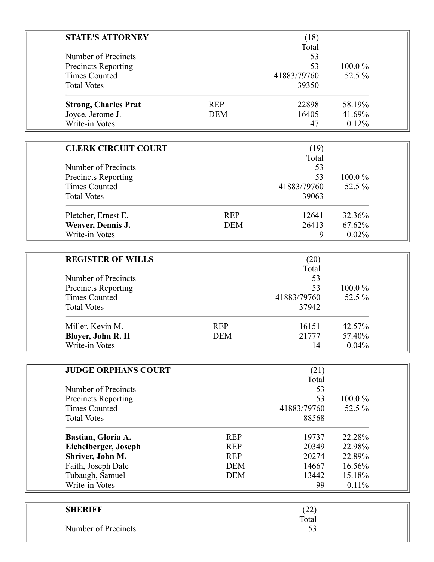| <b>STATE'S ATTORNEY</b>           |            | (18)        |        |  |
|-----------------------------------|------------|-------------|--------|--|
|                                   |            | Total       |        |  |
| Number of Precincts               |            | 53          |        |  |
| <b>Precincts Reporting</b>        |            | 53          | 100.0% |  |
| <b>Times Counted</b>              |            | 41883/79760 | 52.5 % |  |
| <b>Total Votes</b>                |            | 39350       |        |  |
| <b>Strong, Charles Prat</b>       | <b>REP</b> | 22898       | 58.19% |  |
| Joyce, Jerome J.                  | <b>DEM</b> | 16405       | 41.69% |  |
| Write-in Votes                    |            | 47          | 0.12%  |  |
|                                   |            |             |        |  |
| <b>CLERK CIRCUIT COURT</b>        |            | (19)        |        |  |
|                                   |            | Total       |        |  |
| Number of Precincts               |            | 53          |        |  |
| Precincts Reporting               |            | 53          | 100.0% |  |
| <b>Times Counted</b>              |            | 41883/79760 | 52.5 % |  |
| <b>Total Votes</b>                |            | 39063       |        |  |
|                                   |            |             |        |  |
| Pletcher, Ernest E.               | <b>REP</b> | 12641       | 32.36% |  |
| Weaver, Dennis J.                 | <b>DEM</b> | 26413       | 67.62% |  |
| Write-in Votes                    |            | 9           | 0.02%  |  |
|                                   |            |             |        |  |
| <b>REGISTER OF WILLS</b>          |            | (20)        |        |  |
|                                   |            | Total       |        |  |
| Number of Precincts               |            | 53          |        |  |
| <b>Precincts Reporting</b>        |            | 53          | 100.0% |  |
| <b>Times Counted</b>              |            | 41883/79760 | 52.5 % |  |
| <b>Total Votes</b>                |            | 37942       |        |  |
|                                   |            |             |        |  |
| Miller, Kevin M.                  | <b>REP</b> | 16151       | 42.57% |  |
| Bloyer, John R. II                | <b>DEM</b> | 21777       | 57.40% |  |
| Write-in Votes                    |            | 14          | 0.04%  |  |
|                                   |            |             |        |  |
| <b>JUDGE ORPHANS COURT</b>        |            | (21)        |        |  |
|                                   |            | Total       |        |  |
| Number of Precincts               |            | 53          |        |  |
| Precincts Reporting               |            | 53          | 100.0% |  |
| <b>Times Counted</b>              |            | 41883/79760 | 52.5 % |  |
| <b>Total Votes</b>                |            | 88568       |        |  |
| Bastian, Gloria A.                | <b>REP</b> | 19737       | 22.28% |  |
| Eichelberger, Joseph              | <b>REP</b> | 20349       | 22.98% |  |
| Shriver, John M.                  | <b>REP</b> | 20274       | 22.89% |  |
| Faith, Joseph Dale                | <b>DEM</b> | 14667       | 16.56% |  |
|                                   | <b>DEM</b> | 13442       | 15.18% |  |
| Tubaugh, Samuel<br>Write-in Votes |            | 99          | 0.11%  |  |
|                                   |            |             |        |  |
|                                   |            |             |        |  |
| <b>SHERIFF</b>                    |            | (22)        |        |  |

| <b>SHERIFF</b>      | (22)  |
|---------------------|-------|
|                     | Total |
| Number of Precincts | 53    |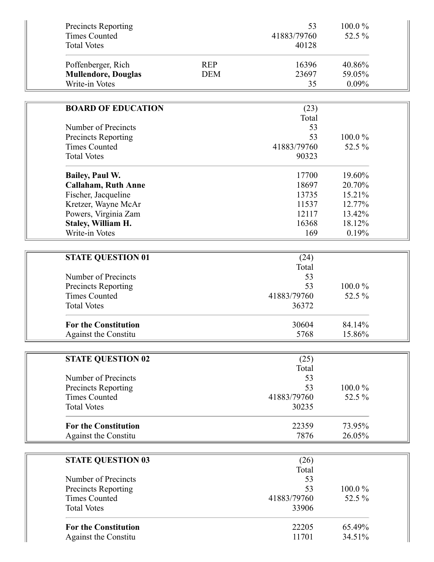| Precincts Reporting<br><b>Times Counted</b><br><b>Total Votes</b>  |                          | 53<br>41883/79760<br>40128 | 100.0%<br>52.5 %          |  |
|--------------------------------------------------------------------|--------------------------|----------------------------|---------------------------|--|
| Poffenberger, Rich<br><b>Mullendore, Douglas</b><br>Write-in Votes | <b>REP</b><br><b>DEM</b> | 16396<br>23697<br>35       | 40.86%<br>59.05%<br>0.09% |  |
|                                                                    |                          |                            |                           |  |
| <b>BOARD OF EDUCATION</b>                                          |                          | (23)                       |                           |  |
|                                                                    |                          | Total                      |                           |  |
| Number of Precincts                                                |                          | 53                         |                           |  |
| Precincts Reporting                                                |                          | 53                         | 100.0%                    |  |
| <b>Times Counted</b>                                               |                          | 41883/79760                | 52.5 %                    |  |
| <b>Total Votes</b>                                                 |                          | 90323                      |                           |  |
| <b>Bailey, Paul W.</b>                                             |                          | 17700                      | 19.60%                    |  |
| <b>Callaham, Ruth Anne</b>                                         |                          | 18697                      | 20.70%                    |  |
| Fischer, Jacqueline                                                |                          | 13735                      | 15.21%                    |  |
| Kretzer, Wayne McAr                                                |                          | 11537                      | 12.77%                    |  |
| Powers, Virginia Zam                                               |                          | 12117                      | 13.42%                    |  |
| <b>Staley, William H.</b>                                          |                          | 16368                      | 18.12%                    |  |
| Write-in Votes                                                     |                          | 169                        | 0.19%                     |  |
|                                                                    |                          |                            |                           |  |
|                                                                    |                          |                            |                           |  |
| <b>STATE QUESTION 01</b>                                           |                          | (24)                       |                           |  |
| Number of Precincts                                                |                          | Total<br>53                |                           |  |
|                                                                    |                          | 53                         | 100.0%                    |  |
| <b>Precincts Reporting</b><br><b>Times Counted</b>                 |                          | 41883/79760                | 52.5 %                    |  |
| <b>Total Votes</b>                                                 |                          | 36372                      |                           |  |
|                                                                    |                          |                            |                           |  |
| <b>For the Constitution</b>                                        |                          | 30604                      | 84.14%                    |  |
| <b>Against the Constitu</b>                                        |                          | 5768                       | 15.86%                    |  |
|                                                                    |                          |                            |                           |  |
| <b>STATE QUESTION 02</b>                                           |                          | (25)                       |                           |  |
|                                                                    |                          | Total                      |                           |  |
| Number of Precincts                                                |                          | 53                         |                           |  |
| <b>Precincts Reporting</b>                                         |                          | 53                         | $100.0\%$                 |  |
| <b>Times Counted</b>                                               |                          | 41883/79760                | 52.5 %                    |  |
| <b>Total Votes</b>                                                 |                          | 30235                      |                           |  |
|                                                                    |                          |                            |                           |  |
| <b>For the Constitution</b>                                        |                          | 22359                      | 73.95%                    |  |
| <b>Against the Constitu</b>                                        |                          | 7876                       | 26.05%                    |  |
|                                                                    |                          |                            |                           |  |
| <b>STATE QUESTION 03</b>                                           |                          | (26)                       |                           |  |
|                                                                    |                          | Total                      |                           |  |
| Number of Precincts                                                |                          | 53                         |                           |  |
|                                                                    |                          |                            |                           |  |
|                                                                    |                          |                            |                           |  |
| Precincts Reporting                                                |                          | 53                         | 100.0%                    |  |
| <b>Times Counted</b>                                               |                          | 41883/79760                | 52.5 %                    |  |
| <b>Total Votes</b>                                                 |                          | 33906                      |                           |  |
| <b>For the Constitution</b>                                        |                          | 22205                      | 65.49%                    |  |